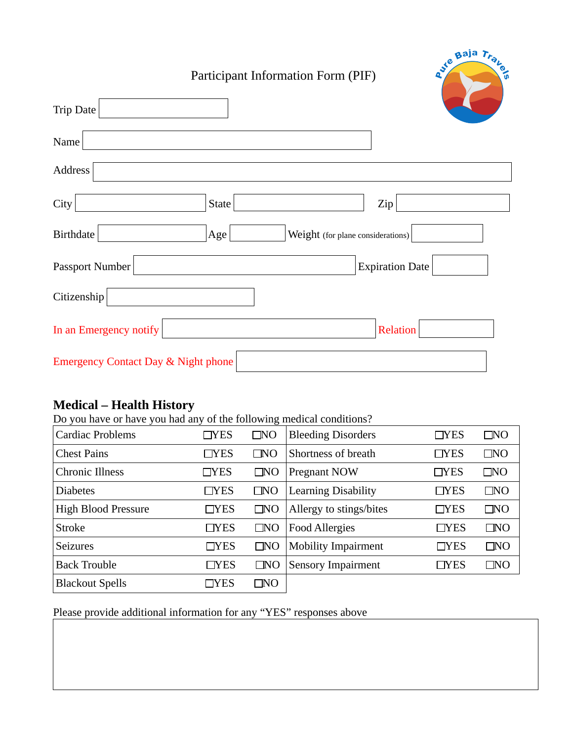## Participant Information Form (PIF)

Avie Baja Trans

| <b>Trip Date</b>                               |                                          |                        |
|------------------------------------------------|------------------------------------------|------------------------|
| Name                                           |                                          |                        |
| Address                                        |                                          |                        |
| City                                           | State                                    | Zip                    |
| <b>Birthdate</b>                               | Age<br>Weight (for plane considerations) |                        |
| Passport Number                                |                                          | <b>Expiration Date</b> |
| Citizenship                                    |                                          |                        |
| In an Emergency notify                         |                                          | Relation               |
| <b>Emergency Contact Day &amp; Night phone</b> |                                          |                        |

## **Medical – Health History**

Do you have or have you had any of the following medical conditions?

| Cardiac Problems           | TYES       | $\Box$ NO    | <b>Bleeding Disorders</b>  | $\Box$ YES | $\Box$ NO    |
|----------------------------|------------|--------------|----------------------------|------------|--------------|
| <b>Chest Pains</b>         | TYES       | $\Box$ NO    | Shortness of breath        | $\Box$ YES | $\square$ NO |
| <b>Chronic Illness</b>     | $\Box$ YES | $\square$ NO | Pregnant NOW               | $\Box$ YES | $\square$ NO |
| <b>Diabetes</b>            | $\Box$ YES | $\square$ NO | <b>Learning Disability</b> | $\Box$ YES | $\square$ NO |
| <b>High Blood Pressure</b> | $\Box$ YES | $\square$ NO | Allergy to stings/bites    | $\Box$ YES | $\Box$ NO    |
| <b>Stroke</b>              | $\Box$ YES | $\square$ NO | <b>Food Allergies</b>      | $\neg$ YES | $\Box$ NO    |
| <b>Seizures</b>            | $\Box$ YES | $\square$ NO | <b>Mobility Impairment</b> | TYES       | $\square$ NO |
| <b>Back Trouble</b>        | $\Box$ YES | $\square$ NO | <b>Sensory Impairment</b>  | TYES       | $\square$ NO |
| <b>Blackout Spells</b>     | TYES       | $\Box$ NO    |                            |            |              |

Please provide additional information for any "YES" responses above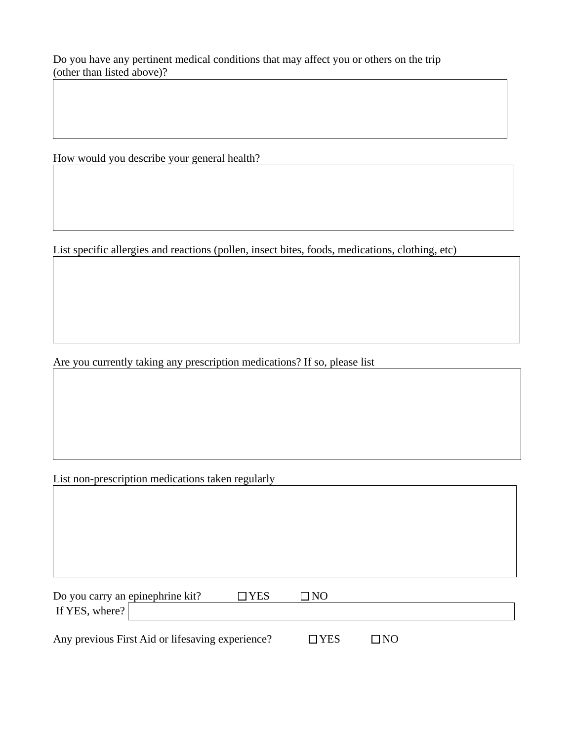Do you have any pertinent medical conditions that may affect you or others on the trip (other than listed above)?

How would you describe your general health?

List specific allergies and reactions (pollen, insect bites, foods, medications, clothing, etc)

Are you currently taking any prescription medications? If so, please list

List non-prescription medications taken regularly

Do you carry an epinephrine kit?  $\Box$  YES  $\Box$  NO If YES, where?

Any previous First Aid or lifesaving experience?  $\Box$  YES  $\Box$  NO